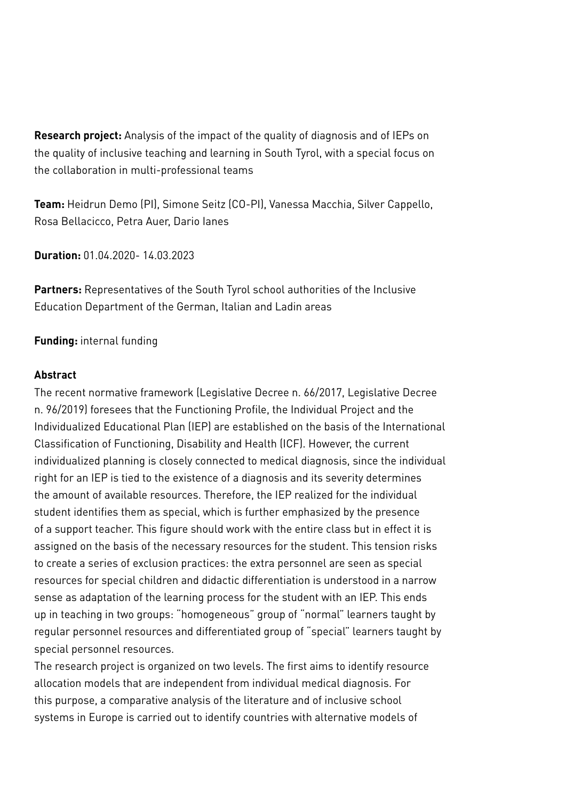**Research project:** Analysis of the impact of the quality of diagnosis and of IEPs on the quality of inclusive teaching and learning in South Tyrol, with a special focus on the collaboration in multi-professional teams

**Team:** Heidrun Demo (PI), Simone Seitz (CO-PI), Vanessa Macchia, Silver Cappello, Rosa Bellacicco, Petra Auer, Dario Ianes

**Duration:** 01.04.2020- 14.03.2023

**Partners:** Representatives of the South Tyrol school authorities of the Inclusive Education Department of the German, Italian and Ladin areas

## **Funding:** internal funding

## **Abstract**

The recent normative framework (Legislative Decree n. 66/2017, Legislative Decree n. 96/2019) foresees that the Functioning Profile, the Individual Project and the Individualized Educational Plan (IEP) are established on the basis of the International Classification of Functioning, Disability and Health (ICF). However, the current individualized planning is closely connected to medical diagnosis, since the individual right for an IEP is tied to the existence of a diagnosis and its severity determines the amount of available resources. Therefore, the IEP realized for the individual student identifies them as special, which is further emphasized by the presence of a support teacher. This figure should work with the entire class but in effect it is assigned on the basis of the necessary resources for the student. This tension risks to create a series of exclusion practices: the extra personnel are seen as special resources for special children and didactic differentiation is understood in a narrow sense as adaptation of the learning process for the student with an IEP. This ends up in teaching in two groups: "homogeneous" group of "normal" learners taught by regular personnel resources and differentiated group of "special" learners taught by special personnel resources.

The research project is organized on two levels. The first aims to identify resource allocation models that are independent from individual medical diagnosis. For this purpose, a comparative analysis of the literature and of inclusive school systems in Europe is carried out to identify countries with alternative models of